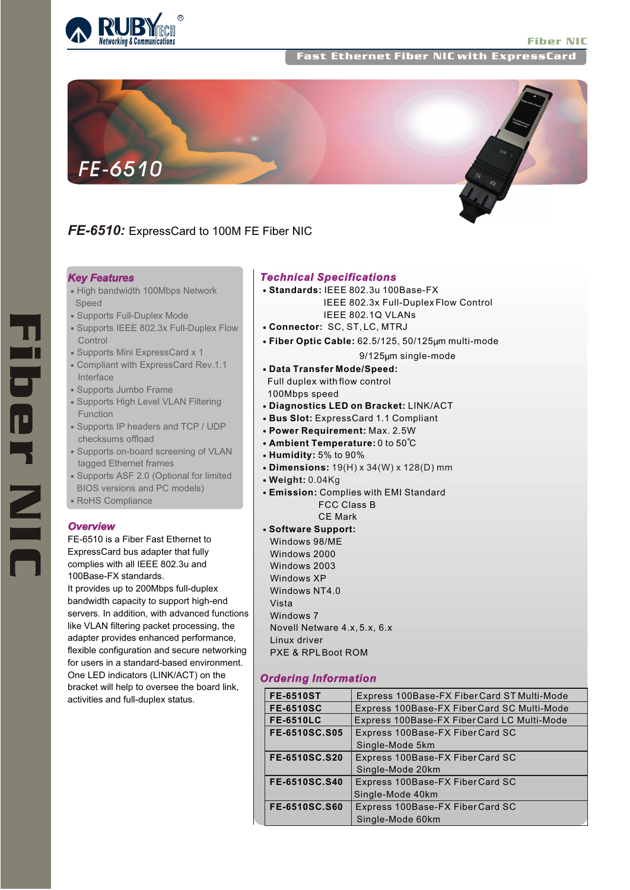Fast Ethernet Fiber NIC with ExpressCard



# *FE-6510:* ExpressCard to 100M FE Fiber NIC

#### *Key Features*

- High bandwidth 100Mbps Network Speed
- Supports Full-Duplex Mode
- Supports IEEE 802.3x Full-Duplex Flow **Control**
- Supports Mini ExpressCard x 1
- Compliant with ExpressCard Rev.1.1 Interface
- Supports Jumbo Frame
- Supports High Level VLAN Filtering Function
- Supports IP headers and TCP / UDP checksums offload
- Supports on-board screening of VLAN tagged Ethernet frames
- Supports ASF 2.0 (Optional for limited BIOS versions and PC models)
- RoHS Compliance

## *Overview*

FE-6510 is a Fiber Fast Ethernet to ExpressCard bus adapter that fully complies with all IEEE 802.3u and 100Base-FX standards.

It provides up to 200Mbps full-duplex bandwidth capacity to support high-end servers. In addition, with advanced functions like VLAN filtering packet processing, the adapter provides enhanced performance, flexible configuration and secure networking for users in a standard-based environment. One LED indicators (LINK/ACT) on the bracket will help to oversee the board link, activities and full-duplex status.

### *Technical Specifications*

- **Standards:** IEEE 802.3u 100Base-FX IEEE 802.3x Full-Duplex Flow Control IEEE 802.1Q VLANs
- **Connector:** SC, ST, LC, MTRJ
- **Fiber Optic Cable:** 62.5/125, 50/125 m multi-mode

9/125um single-mode

- **Data Transfer Mode/Speed:** Full duplex with flow control 100Mbps speed
- **Diagnostics LED on Bracket:** LINK/ACT
- **Bus Slot:** ExpressCard 1.1 Compliant
- **Power Requirement:** Max. 2.5W
- **Ambient Temperature:** 0 to 50°C
- **Humidity:** 5% to 90%
- **Dimensions:** 19(H) x 34(W) x 128(D) mm
- **Weight:** 0.04Kg
- **Emission:** Complies with EMI Standard FCC Class B CE Mark

**Software Support:** Windows 98/ME Windows 2000 Windows 2003 Windows XP Windows NT4.0 Vista Windows 7 Novell Netware 4.x, 5.x, 6.x Linux driver PXE & RPLBoot ROM

# *Ordering Information*

| <b>FE-6510ST</b>     | Express 100Base-FX Fiber Card ST Multi-Mode |
|----------------------|---------------------------------------------|
| <b>FE-6510SC</b>     | Express 100Base-FX Fiber Card SC Multi-Mode |
| <b>FE-6510LC</b>     | Express 100Base-FX Fiber Card LC Multi-Mode |
| <b>FE-6510SC.S05</b> | Express 100Base-FX FiberCard SC             |
|                      | Single-Mode 5km                             |
| FE-6510SC.S20        | Express 100Base-FX Fiber Card SC            |
|                      | Single-Mode 20km                            |
| FE-6510SC.S40        | Express 100Base-FX Fiber Card SC            |
|                      | Single-Mode 40km                            |
| <b>FE-6510SC.S60</b> | Express 100Base-FX Fiber Card SC            |
|                      | Single-Mode 60km                            |